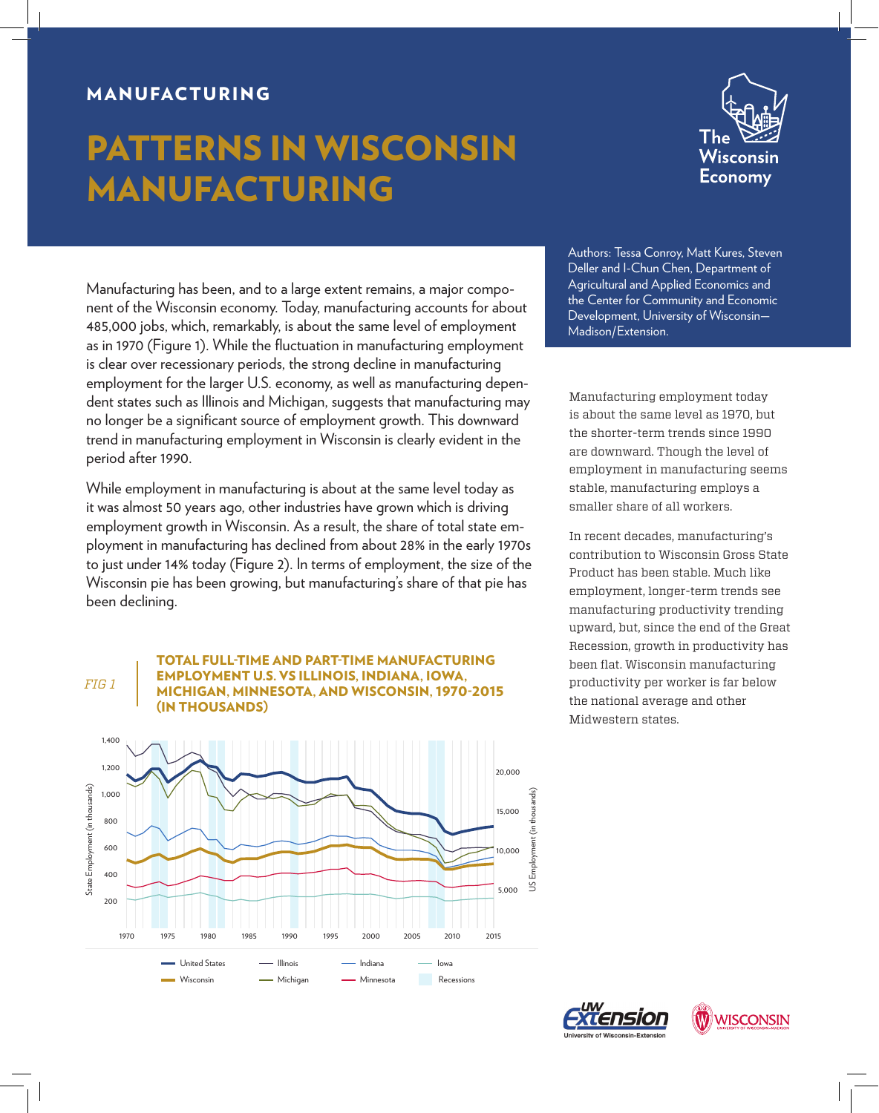## MANUFACTURING

# PATTERNS IN WISCONSIN MANUFACTURING



Manufacturing has been, and to a large extent remains, a major component of the Wisconsin economy. Today, manufacturing accounts for about 485,000 jobs, which, remarkably, is about the same level of employment as in 1970 (Figure 1). While the fluctuation in manufacturing employment is clear over recessionary periods, the strong decline in manufacturing employment for the larger U.S. economy, as well as manufacturing dependent states such as Illinois and Michigan, suggests that manufacturing may no longer be a significant source of employment growth. This downward trend in manufacturing employment in Wisconsin is clearly evident in the period after 1990.

While employment in manufacturing is about at the same level today as it was almost 50 years ago, other industries have grown which is driving employment growth in Wisconsin. As a result, the share of total state employment in manufacturing has declined from about 28% in the early 1970s to just under 14% today (Figure 2). In terms of employment, the size of the Wisconsin pie has been growing, but manufacturing's share of that pie has been declining.

#### *FIG 1*

TOTAL FULL-TIME AND PART-TIME MANUFACTURING EMPLOYMENT U.S. VS ILLINOIS, INDIANA, IOWA, MICHIGAN, MINNESOTA, AND WISCONSIN, 1970-2015 (IN THOUSANDS)



Authors: Tessa Conroy, Matt Kures, Steven Deller and I-Chun Chen, Department of Agricultural and Applied Economics and the Center for Community and Economic Development, University of Wisconsin— Madison/Extension.

Manufacturing employment today is about the same level as 1970, but the shorter-term trends since 1990 are downward. Though the level of employment in manufacturing seems stable, manufacturing employs a smaller share of all workers.

In recent decades, manufacturing's contribution to Wisconsin Gross State Product has been stable. Much like employment, longer-term trends see manufacturing productivity trending upward, but, since the end of the Great Recession, growth in productivity has been flat. Wisconsin manufacturing productivity per worker is far below the national average and other Midwestern states.